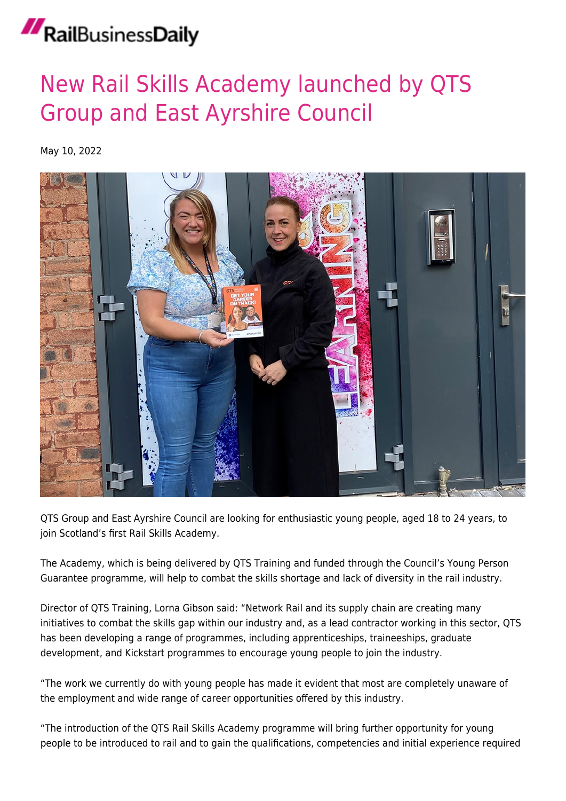## RailBusinessDaily

## [New Rail Skills Academy launched by QTS](https://news.railbusinessdaily.com/new-rail-skills-academy-launched-by-qts-group-and-east-ayrshire-council/) [Group and East Ayrshire Council](https://news.railbusinessdaily.com/new-rail-skills-academy-launched-by-qts-group-and-east-ayrshire-council/)

May 10, 2022



QTS Group and East Ayrshire Council are looking for enthusiastic young people, aged 18 to 24 years, to join Scotland's first Rail Skills Academy.

The Academy, which is being delivered by QTS Training and funded through the Council's Young Person Guarantee programme, will help to combat the skills shortage and lack of diversity in the rail industry.

Director of QTS Training, Lorna Gibson said: "Network Rail and its supply chain are creating many initiatives to combat the skills gap within our industry and, as a lead contractor working in this sector, QTS has been developing a range of programmes, including apprenticeships, traineeships, graduate development, and Kickstart programmes to encourage young people to join the industry.

"The work we currently do with young people has made it evident that most are completely unaware of the employment and wide range of career opportunities offered by this industry.

"The introduction of the QTS Rail Skills Academy programme will bring further opportunity for young people to be introduced to rail and to gain the qualifications, competencies and initial experience required